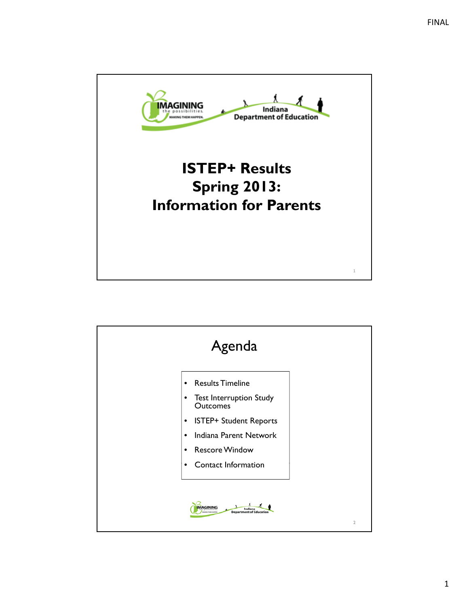

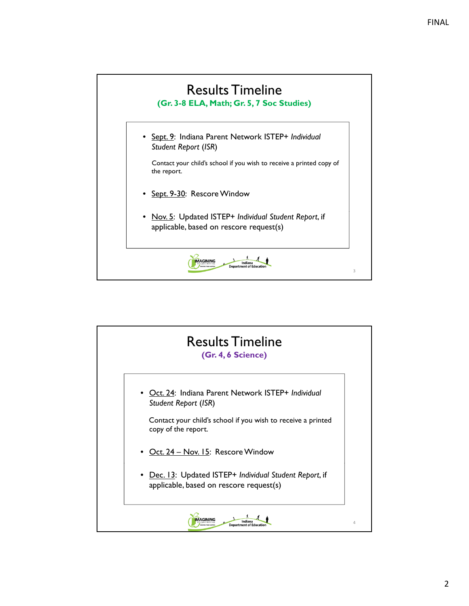

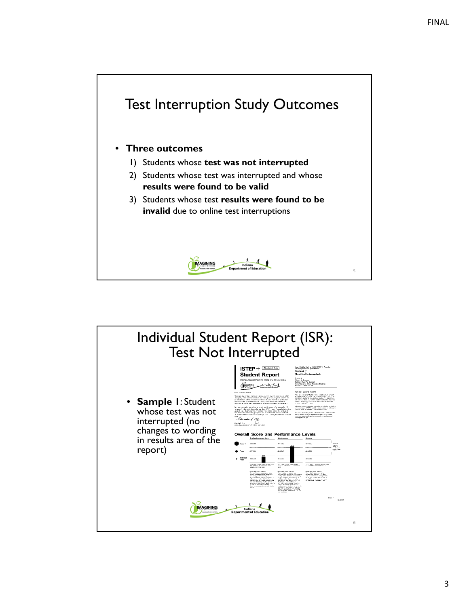

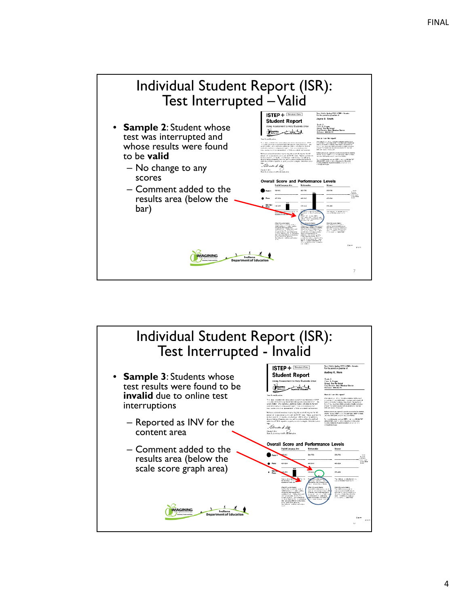

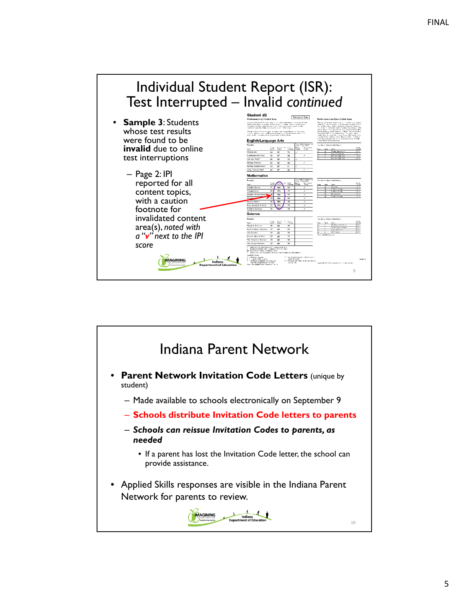